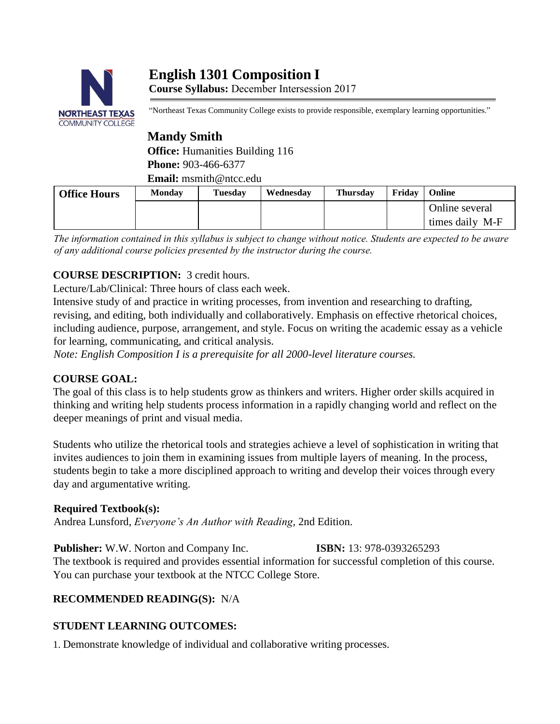# **English 1301 Composition I Course Syllabus:** December Intersession 2017



"Northeast Texas Community College exists to provide responsible, exemplary learning opportunities."

# **Mandy Smith**

**Office:** Humanities Building 116 **Phone:** 903-466-6377 **Email:** msmith@ntcc.edu

| <b>Office Hours</b> | <b>Monday</b> | Tuesday | Wednesdav | <b>Thursday</b> | Fridav | Online          |
|---------------------|---------------|---------|-----------|-----------------|--------|-----------------|
|                     |               |         |           |                 |        | Online several  |
|                     |               |         |           |                 |        | times daily M-F |

*The information contained in this syllabus is subject to change without notice. Students are expected to be aware of any additional course policies presented by the instructor during the course.*

# **COURSE DESCRIPTION:** 3 credit hours.

Lecture/Lab/Clinical: Three hours of class each week.

Intensive study of and practice in writing processes, from invention and researching to drafting, revising, and editing, both individually and collaboratively. Emphasis on effective rhetorical choices, including audience, purpose, arrangement, and style. Focus on writing the academic essay as a vehicle for learning, communicating, and critical analysis.

*Note: English Composition I is a prerequisite for all 2000-level literature courses.* 

## **COURSE GOAL:**

The goal of this class is to help students grow as thinkers and writers. Higher order skills acquired in thinking and writing help students process information in a rapidly changing world and reflect on the deeper meanings of print and visual media.

Students who utilize the rhetorical tools and strategies achieve a level of sophistication in writing that invites audiences to join them in examining issues from multiple layers of meaning. In the process, students begin to take a more disciplined approach to writing and develop their voices through every day and argumentative writing.

## **Required Textbook(s):**

Andrea Lunsford, *Everyone's An Author with Reading,* 2nd Edition.

**Publisher:** W.W. Norton and Company Inc. **ISBN:** 13: 978-0393265293 The textbook is required and provides essential information for successful completion of this course. You can purchase your textbook at the NTCC College Store.

# **RECOMMENDED READING(S):** N/A

# **STUDENT LEARNING OUTCOMES:**

1. Demonstrate knowledge of individual and collaborative writing processes.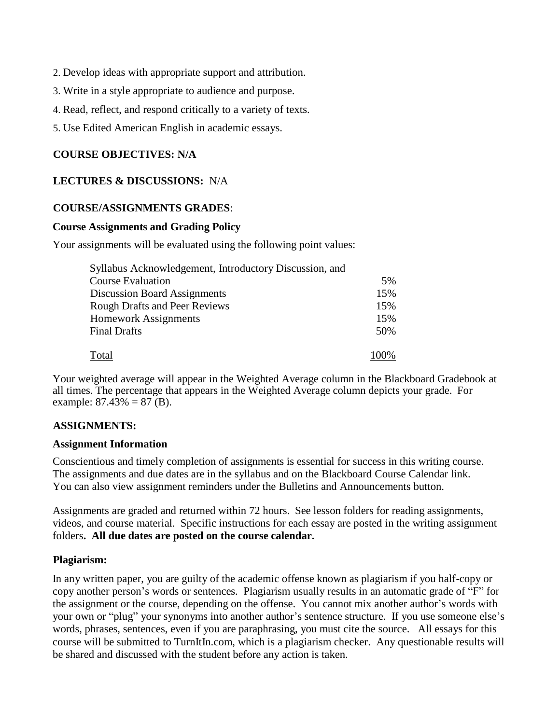- 2. Develop ideas with appropriate support and attribution.
- 3. Write in a style appropriate to audience and purpose.
- 4. Read, reflect, and respond critically to a variety of texts.
- 5. Use Edited American English in academic essays.

## **COURSE OBJECTIVES: N/A**

#### **LECTURES & DISCUSSIONS:** N/A

#### **COURSE/ASSIGNMENTS GRADES**:

#### **Course Assignments and Grading Policy**

Your assignments will be evaluated using the following point values:

| Syllabus Acknowledgement, Introductory Discussion, and |     |
|--------------------------------------------------------|-----|
| <b>Course Evaluation</b>                               | 5%  |
| <b>Discussion Board Assignments</b>                    | 15% |
| <b>Rough Drafts and Peer Reviews</b>                   | 15% |
| <b>Homework Assignments</b>                            | 15% |
| <b>Final Drafts</b>                                    | 50% |
| Total                                                  |     |

Your weighted average will appear in the Weighted Average column in the Blackboard Gradebook at all times. The percentage that appears in the Weighted Average column depicts your grade. For example:  $87.43\% = 87$  (B).

#### **ASSIGNMENTS:**

#### **Assignment Information**

Conscientious and timely completion of assignments is essential for success in this writing course. The assignments and due dates are in the syllabus and on the Blackboard Course Calendar link. You can also view assignment reminders under the Bulletins and Announcements button.

Assignments are graded and returned within 72 hours. See lesson folders for reading assignments, videos, and course material. Specific instructions for each essay are posted in the writing assignment folders**. All due dates are posted on the course calendar.**

#### **Plagiarism:**

In any written paper, you are guilty of the academic offense known as plagiarism if you half-copy or copy another person's words or sentences. Plagiarism usually results in an automatic grade of "F" for the assignment or the course, depending on the offense. You cannot mix another author's words with your own or "plug" your synonyms into another author's sentence structure. If you use someone else's words, phrases, sentences, even if you are paraphrasing, you must cite the source. All essays for this course will be submitted to TurnItIn.com, which is a plagiarism checker. Any questionable results will be shared and discussed with the student before any action is taken.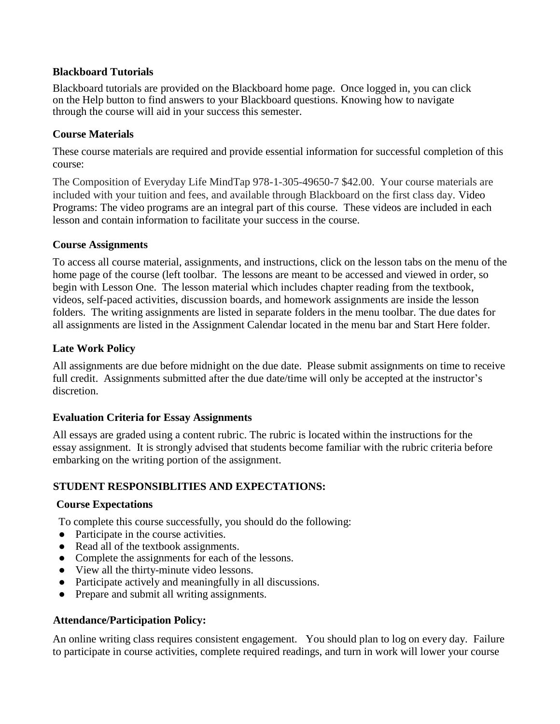#### **Blackboard Tutorials**

Blackboard tutorials are provided on the Blackboard home page. Once logged in, you can click on the Help button to find answers to your Blackboard questions. Knowing how to navigate through the course will aid in your success this semester.

#### **Course Materials**

These course materials are required and provide essential information for successful completion of this course:

The Composition of Everyday Life MindTap 978-1-305-49650-7 \$42.00. Your course materials are included with your tuition and fees, and available through Blackboard on the first class day. Video Programs: The video programs are an integral part of this course. These videos are included in each lesson and contain information to facilitate your success in the course.

#### **Course Assignments**

To access all course material, assignments, and instructions, click on the lesson tabs on the menu of the home page of the course (left toolbar. The lessons are meant to be accessed and viewed in order, so begin with Lesson One. The lesson material which includes chapter reading from the textbook, videos, self-paced activities, discussion boards, and homework assignments are inside the lesson folders. The writing assignments are listed in separate folders in the menu toolbar. The due dates for all assignments are listed in the Assignment Calendar located in the menu bar and Start Here folder.

## **Late Work Policy**

All assignments are due before midnight on the due date. Please submit assignments on time to receive full credit. Assignments submitted after the due date/time will only be accepted at the instructor's discretion.

## **Evaluation Criteria for Essay Assignments**

All essays are graded using a content rubric. The rubric is located within the instructions for the essay assignment. It is strongly advised that students become familiar with the rubric criteria before embarking on the writing portion of the assignment.

#### **STUDENT RESPONSIBLITIES AND EXPECTATIONS:**

#### **Course Expectations**

To complete this course successfully, you should do the following:

- Participate in the course activities.
- Read all of the textbook assignments.
- Complete the assignments for each of the lessons.
- View all the thirty-minute video lessons.
- Participate actively and meaningfully in all discussions.
- Prepare and submit all writing assignments.

#### **Attendance/Participation Policy:**

An online writing class requires consistent engagement. You should plan to log on every day. Failure to participate in course activities, complete required readings, and turn in work will lower your course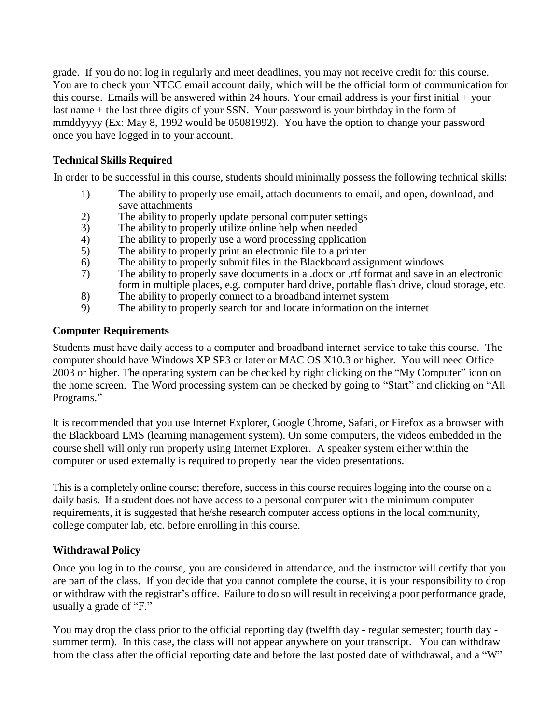grade. If you do not log in regularly and meet deadlines, you may not receive credit for this course. You are to check your NTCC email account daily, which will be the official form of communication for this course. Emails will be answered within 24 hours. Your email address is your first initial + your last name + the last three digits of your SSN. Your password is your birthday in the form of mmddyyyy (Ex: May 8, 1992 would be 05081992). You have the option to change your password once you have logged in to your account.

## **Technical Skills Required**

In order to be successful in this course, students should minimally possess the following technical skills:

- 1) The ability to properly use email, attach documents to email, and open, download, and save attachments
- 2) The ability to properly update personal computer settings
- 3) The ability to properly utilize online help when needed
- 4) The ability to properly use a word processing application
- 5) The ability to properly print an electronic file to a printer
- 6) The ability to properly submit files in the Blackboard assignment windows
- 7) The ability to properly save documents in a .docx or .rtf format and save in an electronic form in multiple places, e.g. computer hard drive, portable flash drive, cloud storage, etc.
- 8) The ability to properly connect to a broadband internet system
- 9) The ability to properly search for and locate information on the internet

#### **Computer Requirements**

Students must have daily access to a computer and broadband internet service to take this course. The computer should have Windows XP SP3 or later or MAC OS X10.3 or higher. You will need Office 2003 or higher. The operating system can be checked by right clicking on the "My Computer" icon on the home screen. The Word processing system can be checked by going to "Start" and clicking on "All Programs."

It is recommended that you use Internet Explorer, Google Chrome, Safari, or Firefox as a browser with the Blackboard LMS (learning management system). On some computers, the videos embedded in the course shell will only run properly using Internet Explorer. A speaker system either within the computer or used externally is required to properly hear the video presentations.

This is a completely online course; therefore, success in this course requires logging into the course on a daily basis. If a student does not have access to a personal computer with the minimum computer requirements, it is suggested that he/she research computer access options in the local community, college computer lab, etc. before enrolling in this course.

## **Withdrawal Policy**

Once you log in to the course, you are considered in attendance, and the instructor will certify that you are part of the class. If you decide that you cannot complete the course, it is your responsibility to drop or withdraw with the registrar's office. Failure to do so will result in receiving a poor performance grade, usually a grade of "F."

You may drop the class prior to the official reporting day (twelfth day - regular semester; fourth day summer term). In this case, the class will not appear anywhere on your transcript. You can withdraw from the class after the official reporting date and before the last posted date of withdrawal, and a "W"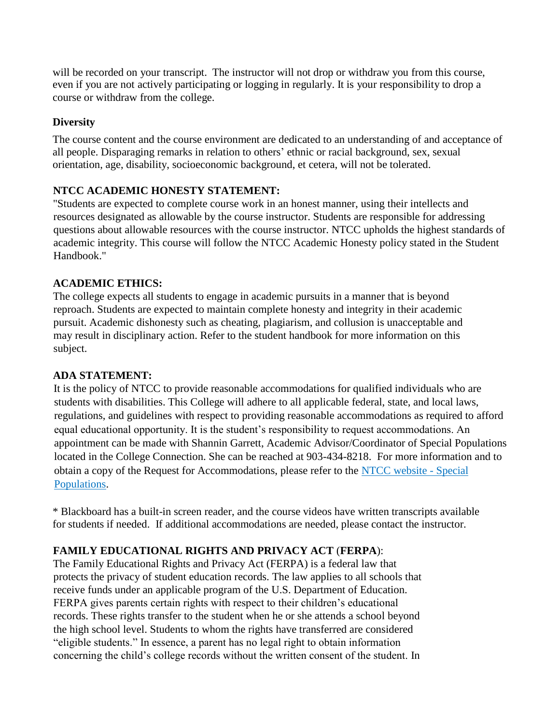will be recorded on your transcript. The instructor will not drop or withdraw you from this course, even if you are not actively participating or logging in regularly. It is your responsibility to drop a course or withdraw from the college.

## **Diversity**

The course content and the course environment are dedicated to an understanding of and acceptance of all people. Disparaging remarks in relation to others' ethnic or racial background, sex, sexual orientation, age, disability, socioeconomic background, et cetera, will not be tolerated.

# **NTCC ACADEMIC HONESTY STATEMENT:**

"Students are expected to complete course work in an honest manner, using their intellects and resources designated as allowable by the course instructor. Students are responsible for addressing questions about allowable resources with the course instructor. NTCC upholds the highest standards of academic integrity. This course will follow the NTCC Academic Honesty policy stated in the Student Handbook."

## **ACADEMIC ETHICS:**

The college expects all students to engage in academic pursuits in a manner that is beyond reproach. Students are expected to maintain complete honesty and integrity in their academic pursuit. Academic dishonesty such as cheating, plagiarism, and collusion is unacceptable and may result in disciplinary action. Refer to the student handbook for more information on this subject.

## **ADA STATEMENT:**

It is the policy of NTCC to provide reasonable accommodations for qualified individuals who are students with disabilities. This College will adhere to all applicable federal, state, and local laws, regulations, and guidelines with respect to providing reasonable accommodations as required to afford equal educational opportunity. It is the student's responsibility to request accommodations. An appointment can be made with Shannin Garrett, Academic Advisor/Coordinator of Special Populations located in the College Connection. She can be reached at 903-434-8218. For more information and to obtain a copy of the Request for Accommodations, please refer to the [NTCC website -](http://www.ntcc.edu/index.php?module=Pagesetter&func=viewpub&tid=111&pid=1) Special [Populations.](http://www.ntcc.edu/index.php?module=Pagesetter&func=viewpub&tid=111&pid=1)

\* Blackboard has a built-in screen reader, and the course videos have written transcripts available for students if needed. If additional accommodations are needed, please contact the instructor.

# **FAMILY EDUCATIONAL RIGHTS AND PRIVACY ACT** (**FERPA**):

The Family Educational Rights and Privacy Act (FERPA) is a federal law that protects the privacy of student education records. The law applies to all schools that receive funds under an applicable program of the U.S. Department of Education. FERPA gives parents certain rights with respect to their children's educational records. These rights transfer to the student when he or she attends a school beyond the high school level. Students to whom the rights have transferred are considered "eligible students." In essence, a parent has no legal right to obtain information concerning the child's college records without the written consent of the student. In